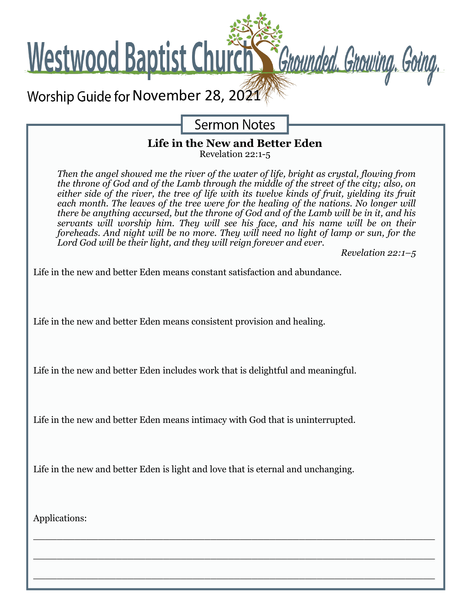

**Sermon Notes** 

## **Life in the New and Better Eden**

Revelation 22:1-5

*Then the angel showed me the river of the water of life, bright as crystal, flowing from the throne of God and of the Lamb through the middle of the street of the city; also, on either side of the river, the tree of life with its twelve kinds of fruit, yielding its fruit each month. The leaves of the tree were for the healing of the nations. No longer will there be anything accursed, but the throne of God and of the Lamb will be in it, and his servants will worship him. They will see his face, and his name will be on their foreheads. And night will be no more. They will need no light of lamp or sun, for the Lord God will be their light, and they will reign forever and ever.* 

*Revelation 22:1–5*

Life in the new and better Eden means constant satisfaction and abundance.

Life in the new and better Eden means consistent provision and healing.

Life in the new and better Eden includes work that is delightful and meaningful.

Life in the new and better Eden means intimacy with God that is uninterrupted.

Life in the new and better Eden is light and love that is eternal and unchanging.

 $\_$  , and the set of the set of the set of the set of the set of the set of the set of the set of the set of the set of the set of the set of the set of the set of the set of the set of the set of the set of the set of th

 $\_$  , and the contribution of the contribution of  $\mathcal{L}_1$  , and  $\mathcal{L}_2$  , and  $\mathcal{L}_3$  , and  $\mathcal{L}_4$  , and  $\mathcal{L}_5$  , and  $\mathcal{L}_6$  , and  $\mathcal{L}_7$  , and  $\mathcal{L}_8$  , and  $\mathcal{L}_7$  , and  $\mathcal{L}_8$  , and  $\mathcal{L}_9$  ,

 $\_$  , and the set of the set of the set of the set of the set of the set of the set of the set of the set of the set of the set of the set of the set of the set of the set of the set of the set of the set of the set of th

Applications: